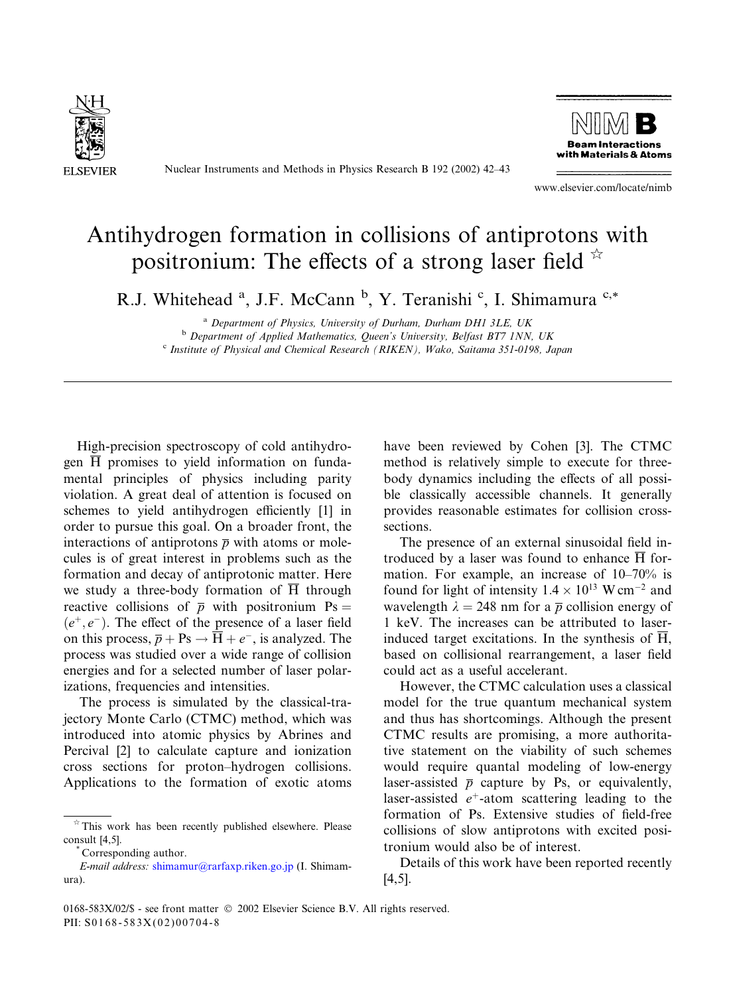

Nuclear Instruments and Methods in Physics Research B 192 (2002) 42–43



www.elsevier.com/locate/nimb

## Antihydrogen formation in collisions of antiprotons with positronium: The effects of a strong laser field  $\overline{a}$

R.J. Whitehead <sup>a</sup>, J.F. McCann <sup>b</sup>, Y. Teranishi <sup>c</sup>, I. Shimamura <sup>c,\*</sup>

<sup>a</sup> Department of Physics, University of Durham, Durham DH1 3LE, UK **b** Department of Applied Mathematics, Queen's University, Belfast BT7 1NN, UK <sup>c</sup> Institute of Physical and Chemical Research (RIKEN), Wako, Saitama 351-0198, Japan

High-precision spectroscopy of cold antihydrogen  $\overline{H}$  promises to yield information on fundamental principles of physics including parity violation. A great deal of attention is focused on schemes to yield antihydrogen efficiently [1] in order to pursue this goal. On a broader front, the interactions of antiprotons  $\bar{p}$  with atoms or molecules is of great interest in problems such as the formation and decay of antiprotonic matter. Here we study a three-body formation of H through reactive collisions of  $\bar{p}$  with positronium Ps =  $(e^+, e^-)$ . The effect of the presence of a laser field on this process,  $\overline{p} + \text{Ps} \rightarrow \overline{H} + e^{-}$ , is analyzed. The process was studied over a wide range of collision energies and for a selected number of laser polarizations, frequencies and intensities.

The process is simulated by the classical-trajectory Monte Carlo (CTMC) method, which was introduced into atomic physics by Abrines and Percival [2] to calculate capture and ionization cross sections for proton–hydrogen collisions. Applications to the formation of exotic atoms

have been reviewed by Cohen [3]. The CTMC method is relatively simple to execute for threebody dynamics including the effects of all possible classically accessible channels. It generally provides reasonable estimates for collision crosssections.

The presence of an external sinusoidal field introduced by a laser was found to enhance  $\overline{H}$  formation. For example, an increase of 10–70% is found for light of intensity  $1.4 \times 10^{13}$  W cm<sup>-2</sup> and wavelength  $\lambda = 248$  nm for a  $\bar{p}$  collision energy of 1 keV. The increases can be attributed to laserinduced target excitations. In the synthesis of  $\overline{H}$ , based on collisional rearrangement, a laser field could act as a useful accelerant.

However, the CTMC calculation uses a classical model for the true quantum mechanical system and thus has shortcomings. Although the present CTMC results are promising, a more authoritative statement on the viability of such schemes would require quantal modeling of low-energy laser-assisted  $\bar{p}$  capture by Ps, or equivalently, laser-assisted  $e^+$ -atom scattering leading to the formation of Ps. Extensive studies of field-free collisions of slow antiprotons with excited positronium would also be of interest.

Details of this work have been reported recently [4,5].

 $*$  This work has been recently published elsewhere. Please consult [4,5].<br>\* Corresponding author.

E-mail address: [shimamur@rarfaxp.riken.go.jp](mail to: shimamur@rarfaxp.riken.go.jp) (I. Shimamura).